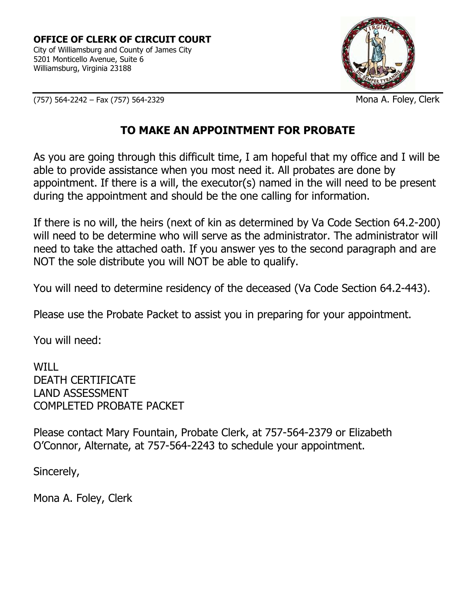

(757) 564-2242 – Fax (757) 564-2329 Mona A. Foley, Clerk

# **TO MAKE AN APPOINTMENT FOR PROBATE**

As you are going through this difficult time, I am hopeful that my office and I will be able to provide assistance when you most need it. All probates are done by appointment. If there is a will, the executor(s) named in the will need to be present during the appointment and should be the one calling for information.

If there is no will, the heirs (next of kin as determined by Va Code Section 64.2-200) will need to be determine who will serve as the administrator. The administrator will need to take the attached oath. If you answer yes to the second paragraph and are NOT the sole distribute you will NOT be able to qualify.

You will need to determine residency of the deceased (Va Code Section 64.2-443).

Please use the Probate Packet to assist you in preparing for your appointment.

You will need:

WILL DEATH CERTIFICATE LAND ASSESSMENT COMPLETED PROBATE PACKET

Please contact Mary Fountain, Probate Clerk, at 757-564-2379 or Elizabeth O'Connor, Alternate, at 757-564-2243 to schedule your appointment.

Sincerely,

Mona A. Foley, Clerk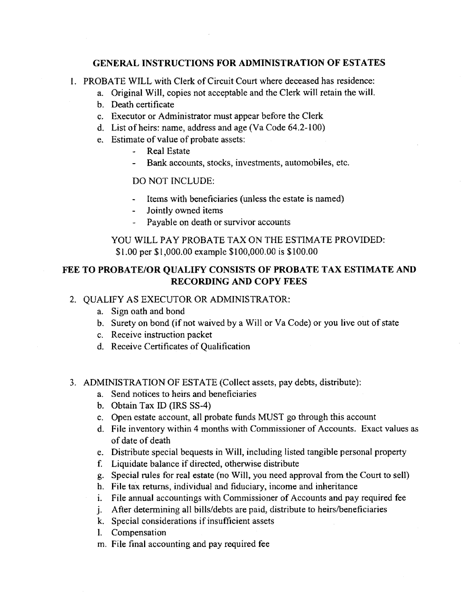#### **GENERAL INSTRUCTIONS FOR ADMINISTRATION OF ESTATES**

1. PROBATE WILL with Clerk of Circuit Court where deceased has residence:

- a. Original Will, copies not acceptable and the Clerk will retain the will.
- b. Death certificate
- c. Executor or Administrator must appear before the Clerk
- d. List of heirs: name, address and age (Va Code 64.2-100)
- e. Estimate of value of probate assets:
	- **Real Estate**  $\frac{1}{2}$
	- Bank accounts, stocks, investments, automobiles, etc.

#### **DO NOT INCLUDE:**

- Items with beneficiaries (unless the estate is named)
- Jointly owned items  $\frac{1}{2}$  and  $\frac{1}{2}$
- Payable on death or survivor accounts

# YOU WILL PAY PROBATE TAX ON THE ESTIMATE PROVIDED: \$1.00 per \$1,000.00 example \$100,000.00 is \$100.00

# FEE TO PROBATE/OR QUALIFY CONSISTS OF PROBATE TAX ESTIMATE AND **RECORDING AND COPY FEES**

# 2. QUALIFY AS EXECUTOR OR ADMINISTRATOR:

- a. Sign oath and bond
- b. Surety on bond (if not waived by a Will or Va Code) or you live out of state
- c. Receive instruction packet
- d. Receive Certificates of Qualification

#### 3. ADMINISTRATION OF ESTATE (Collect assets, pay debts, distribute):

- a. Send notices to heirs and beneficiaries
- b. Obtain Tax ID (IRS SS-4)
- c. Open estate account, all probate funds MUST go through this account
- d. File inventory within 4 months with Commissioner of Accounts. Exact values as of date of death
- e. Distribute special bequests in Will, including listed tangible personal property
- f. Liquidate balance if directed, otherwise distribute
- g. Special rules for real estate (no Will, you need approval from the Court to sell)
- h. File tax returns, individual and fiduciary, income and inheritance
- i. File annual accountings with Commissioner of Accounts and pay required fee
- j. After determining all bills/debts are paid, distribute to heirs/beneficiaries
- k. Special considerations if insufficient assets
- l. Compensation
- m. File final accounting and pay required fee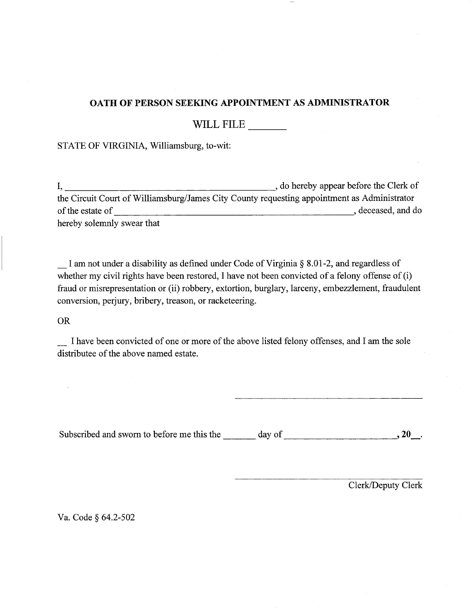# OATH OF PERSON SEEKING APPOINTMENT AS ADMINISTRATOR

WILL FILE

### STATE OF VIRGINIA, Williamsburg, to-wit:

the Circuit Court of Williamsburg/James City County requesting appointment as Administrator hereby solemnly swear that

I am not under a disability as defined under Code of Virginia § 8.01-2, and regardless of whether my civil rights have been restored, I have not been convicted of a felony offense of (i) fraud or misrepresentation or (ii) robbery, extortion, burglary, larceny, embezzlement, fraudulent conversion, perjury, bribery, treason, or racketeering.

**OR** 

I have been convicted of one or more of the above listed felony offenses, and I am the sole distributee of the above named estate.

Subscribed and sworn to before me this the  $\_\_\_\_$  day of  $\_\_\_\_\_\_$ .

Clerk/Deputy Clerk

Va. Code § 64.2-502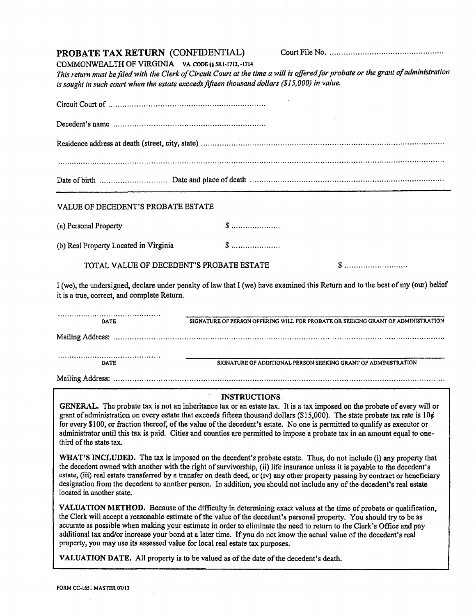#### PROBATE TAX RETURN (CONFIDENTIAL)

COMMONWEALTH OF VIRGINIA VA. CODE §§ 58.1-1713, -1714 This return must be filed with the Clerk of Circuit Court at the time a will is offered for probate or the grant of administration is sought in such court when the estate exceeds fifteen thousand dollars (\$15,000) in value.

| Decedent's name                                                                                                                                                               |  |  |
|-------------------------------------------------------------------------------------------------------------------------------------------------------------------------------|--|--|
|                                                                                                                                                                               |  |  |
| VALUE OF DECEDENT'S PROBATE ESTATE                                                                                                                                            |  |  |
|                                                                                                                                                                               |  |  |
| (a) Personal Property                                                                                                                                                         |  |  |
| (b) Real Property Located in Virginia                                                                                                                                         |  |  |
| TOTAL VALUE OF DECEDENT'S PROBATE ESTATE                                                                                                                                      |  |  |
| I (we), the undersigned, declare under penalty of law that I (we) have examined this Return and to the best of my (our) belief<br>it is a true, correct, and complete Return. |  |  |

| DATE | SIGNATURE OF PERSON OFFERING WILL FOR PROBATE OR SEEKING GRANT OF ADMINISTRATION |
|------|----------------------------------------------------------------------------------|
|      |                                                                                  |
|      |                                                                                  |
| DATE | SIGNATURE OF ADDITIONAL PERSON SEEKING GRANT OF ADMINISTRATION                   |
|      |                                                                                  |

#### **INSTRUCTIONS**

GENERAL. The probate tax is not an inheritance tax or an estate tax. It is a tax imposed on the probate of every will or grant of administration on every estate that exceeds fifteen thousand dollars (\$15,000). The state probate tax rate is  $10¢$ for every \$100, or fraction thereof, of the value of the decedent's estate. No one is permitted to qualify as executor or administrator until this tax is paid. Cities and counties are permitted to impose a probate tax in an amount equal to onethird of the state tax.

WHAT'S INCLUDED. The tax is imposed on the decedent's probate estate. Thus, do not include (i) any property that the decedent owned with another with the right of survivorship, (ii) life insurance unless it is payable to the decedent's estate, (iii) real estate transferred by a transfer on death deed, or (iv) any other property passing by contract or beneficiary designation from the decedent to another person. In addition, you should not include any of the decedent's real estate located in another state.

VALUATION METHOD. Because of the difficulty in determining exact values at the time of probate or qualification, the Clerk will accept a reasonable estimate of the value of the decedent's personal property. You should try to be as accurate as possible when making your estimate in order to eliminate the need to return to the Clerk's Office and pay additional tax and/or increase your bond at a later time. If you do not know the actual value of the decedent's real property, you may use its assessed value for local real estate tax purposes.

VALUATION DATE. All property is to be valued as of the date of the decedent's death.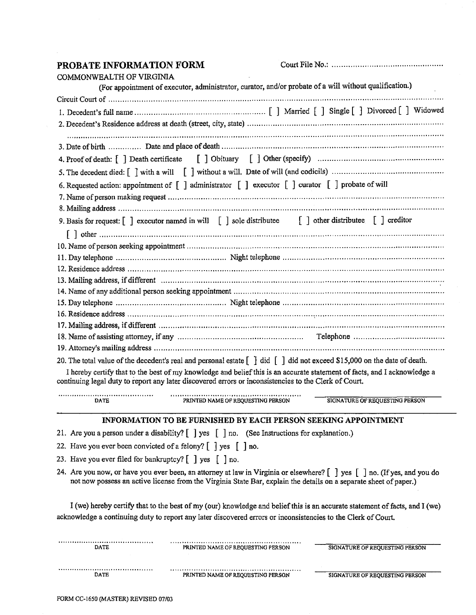# PROBATE INFORMATION FORM

|--|--|

| COMMONWEALTH OF VIRGINIA                                                                                                                                                                                                                    |
|---------------------------------------------------------------------------------------------------------------------------------------------------------------------------------------------------------------------------------------------|
| (For appointment of executor, administrator, curator, and/or probate of a will without qualification.)                                                                                                                                      |
| Circuit Court of manuscripture communication communication communication continuous construction of                                                                                                                                         |
|                                                                                                                                                                                                                                             |
|                                                                                                                                                                                                                                             |
|                                                                                                                                                                                                                                             |
|                                                                                                                                                                                                                                             |
|                                                                                                                                                                                                                                             |
|                                                                                                                                                                                                                                             |
| 6. Requested action: appointment of [ ] administrator [ ] executor [ ] curator [ ] probate of will                                                                                                                                          |
|                                                                                                                                                                                                                                             |
|                                                                                                                                                                                                                                             |
| 9. Basis for request: $\begin{bmatrix} 1 \end{bmatrix}$ executor named in will $\begin{bmatrix} 1 \end{bmatrix}$ sole distributed $\begin{bmatrix} 1 \end{bmatrix}$ other distributed $\begin{bmatrix} 1 \end{bmatrix}$ creditor            |
|                                                                                                                                                                                                                                             |
|                                                                                                                                                                                                                                             |
|                                                                                                                                                                                                                                             |
|                                                                                                                                                                                                                                             |
|                                                                                                                                                                                                                                             |
|                                                                                                                                                                                                                                             |
|                                                                                                                                                                                                                                             |
|                                                                                                                                                                                                                                             |
|                                                                                                                                                                                                                                             |
|                                                                                                                                                                                                                                             |
|                                                                                                                                                                                                                                             |
| 20. The total value of the decedent's real and personal estate $\begin{bmatrix} 1 \\ 1 \end{bmatrix}$ did $\begin{bmatrix} 1 \\ 1 \end{bmatrix}$ did not exceed \$15,000 on the date of death.                                              |
| I hereby certify that to the best of my knowledge and belief this is an accurate statement of facts, and I acknowledge a<br>continuing legal duty to report any later discovered errors or inconsistencies to the Clerk of Court.           |
| PRINTED NAME OF REQUESTING PERSON<br>SIGNATURE OF REQUESTING PERSON<br><b>DATE</b>                                                                                                                                                          |
|                                                                                                                                                                                                                                             |
| INFORMATION TO BE FURNISHED BY EACH PERSON SEEKING APPOINTMENT                                                                                                                                                                              |
|                                                                                                                                                                                                                                             |
| 22. Have you ever been convicted of a felony? $\begin{bmatrix} \end{bmatrix}$ yes $\begin{bmatrix} \end{bmatrix}$ no.                                                                                                                       |
|                                                                                                                                                                                                                                             |
| 24. Are you now, or have you ever been, an attorney at law in Virginia or elsewhere? [] yes [] no. (If yes, and you do<br>not now possess an active license from the Virginia State Bar, explain the details on a separate sheet of paper.) |
| I (we) hereby certify that to the best of my (our) knowledge and belief this is an accurate statement of facts, and I (we)                                                                                                                  |
| acknowledge a continuing duty to report any later discovered errors or inconsistencies to the Clerk of Court.                                                                                                                               |
|                                                                                                                                                                                                                                             |
| <b>SIGNATURE OF REQUESTING PERSON</b><br><b>DATE</b><br>PRINTED NAME OF REQUESTING PERSON                                                                                                                                                   |

 $\begin{minipage}{.4\linewidth} \begin{tabular}{l} \textbf{0.03}\end{tabular} \end{minipage}$  <br> $\begin{tabular}{l} \textbf{DATE} \end{tabular}$ 

 $\begin{minipage}{.4\linewidth} \textbf{PRINIED NAME OF REQUESTING PERSON} \end{minipage}$ 

SIGNATURE OF REQUESTING PERSON